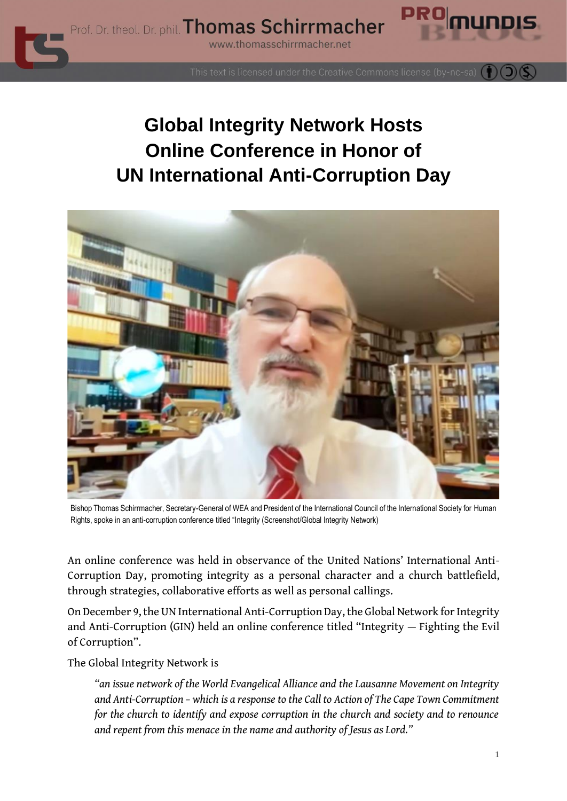

This text is licensed under the Creative Commons license (by-nc-sa)

## **Global Integrity Network Hosts Online Conference in Honor of UN International Anti-Corruption Day**



Bishop Thomas Schirrmacher, Secretary-General of WEA and President of the International Council of the International Society for Human Rights, spoke in an anti-corruption conference titled "Integrity (Screenshot/Global Integrity Network)

An online conference was held in observance of the United Nations' International Anti-Corruption Day, promoting integrity as a personal character and a church battlefield, through strategies, collaborative efforts as well as personal callings.

On December 9, the UN International Anti-Corruption Day, the Global Network for Integrity and Anti-Corruption (GIN) held an online conference titled "Integrity — Fighting the Evil of Corruption".

The Global Integrity Network is

*"an issue network of the World Evangelical Alliance and the Lausanne Movement on Integrity and Anti-Corruption – which is a response to the Call to Action of The Cape Town Commitment for the church to identify and expose corruption in the church and society and to renounce and repent from this menace in the name and authority of Jesus as Lord."*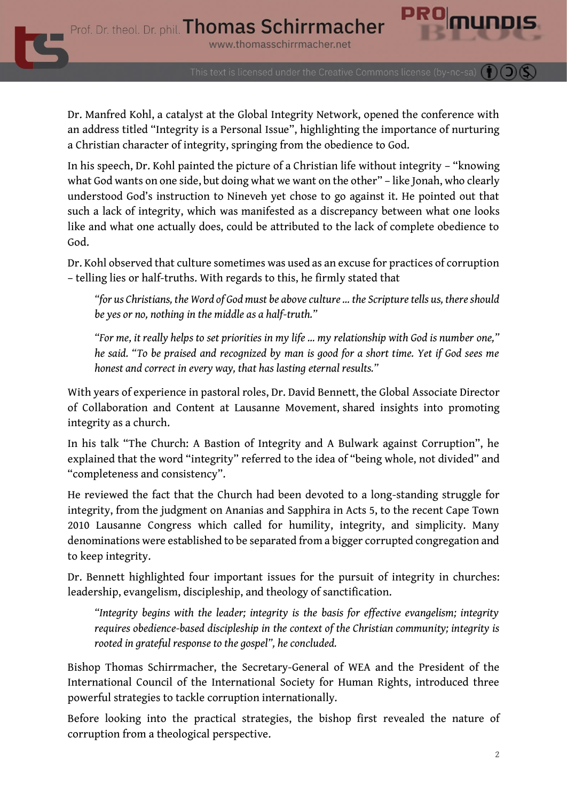Dr. Manfred Kohl, a catalyst at the Global Integrity Network, opened the conference with an address titled "Integrity is a Personal Issue", highlighting the importance of nurturing a Christian character of integrity, springing from the obedience to God.

In his speech, Dr. Kohl painted the picture of a Christian life without integrity – "knowing what God wants on one side, but doing what we want on the other" – like Jonah, who clearly understood God's instruction to Nineveh yet chose to go against it. He pointed out that such a lack of integrity, which was manifested as a discrepancy between what one looks like and what one actually does, could be attributed to the lack of complete obedience to God.

Dr. Kohl observed that culture sometimes was used as an excuse for practices of corruption – telling lies or half-truths. With regards to this, he firmly stated that

*"for us Christians, the Word of God must be above culture … the Scripture tells us, there should be yes or no, nothing in the middle as a half-truth."*

*"For me, it really helps to set priorities in my life … my relationship with God is number one," he said. "To be praised and recognized by man is good for a short time. Yet if God sees me honest and correct in every way, that has lasting eternal results."*

With years of experience in pastoral roles, Dr. David Bennett, the Global Associate Director of Collaboration and Content at Lausanne Movement, shared insights into promoting integrity as a church.

In his talk "The Church: A Bastion of Integrity and A Bulwark against Corruption", he explained that the word "integrity" referred to the idea of "being whole, not divided" and "completeness and consistency".

He reviewed the fact that the Church had been devoted to a long-standing struggle for integrity, from the judgment on Ananias and Sapphira in Acts 5, to the recent Cape Town 2010 Lausanne Congress which called for humility, integrity, and simplicity. Many denominations were established to be separated from a bigger corrupted congregation and to keep integrity.

Dr. Bennett highlighted four important issues for the pursuit of integrity in churches: leadership, evangelism, discipleship, and theology of sanctification.

*"Integrity begins with the leader; integrity is the basis for effective evangelism; integrity requires obedience-based discipleship in the context of the Christian community; integrity is rooted in grateful response to the gospel", he concluded.*

Bishop Thomas Schirrmacher, the Secretary-General of WEA and the President of the International Council of the International Society for Human Rights, introduced three powerful strategies to tackle corruption internationally.

Before looking into the practical strategies, the bishop first revealed the nature of corruption from a theological perspective.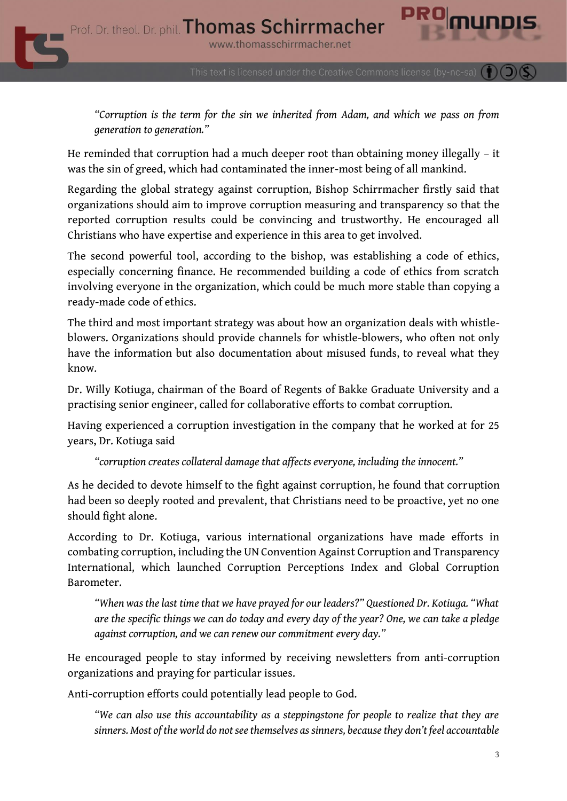This text is licensed under the Creative Commons license (by-nc-sa)

*"Corruption is the term for the sin we inherited from Adam, and which we pass on from generation to generation."*

He reminded that corruption had a much deeper root than obtaining money illegally – it was the sin of greed, which had contaminated the inner-most being of all mankind.

Regarding the global strategy against corruption, Bishop Schirrmacher firstly said that organizations should aim to improve corruption measuring and transparency so that the reported corruption results could be convincing and trustworthy. He encouraged all Christians who have expertise and experience in this area to get involved.

The second powerful tool, according to the bishop, was establishing a code of ethics, especially concerning finance. He recommended building a code of ethics from scratch involving everyone in the organization, which could be much more stable than copying a ready-made code of ethics.

The third and most important strategy was about how an organization deals with whistleblowers. Organizations should provide channels for whistle-blowers, who often not only have the information but also documentation about misused funds, to reveal what they know.

Dr. Willy Kotiuga, chairman of the Board of Regents of Bakke Graduate University and a practising senior engineer, called for collaborative efforts to combat corruption.

Having experienced a corruption investigation in the company that he worked at for 25 years, Dr. Kotiuga said

*"corruption creates collateral damage that affects everyone, including the innocent."*

As he decided to devote himself to the fight against corruption, he found that corruption had been so deeply rooted and prevalent, that Christians need to be proactive, yet no one should fight alone.

According to Dr. Kotiuga, various international organizations have made efforts in combating corruption, including the UN Convention Against Corruption and Transparency International, which launched Corruption Perceptions Index and Global Corruption Barometer.

*"When was the last time that we have prayed for our leaders?" Questioned Dr. Kotiuga. "What are the specific things we can do today and every day of the year? One, we can take a pledge against corruption, and we can renew our commitment every day."*

He encouraged people to stay informed by receiving newsletters from anti-corruption organizations and praying for particular issues.

Anti-corruption efforts could potentially lead people to God.

*"We can also use this accountability as a steppingstone for people to realize that they are sinners. Most of the world do not see themselves as sinners, because they don't feel accountable*